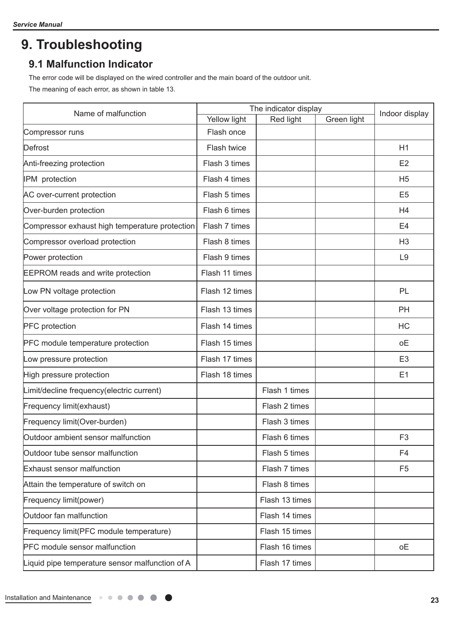# **9. Troubleshooting**

## **9.1 Malfunction Indicator**

The error code will be displayed on the wired controller and the main board of the outdoor unit.

The meaning of each error, as shown in table 13.

| Name of malfunction                             | The indicator display |                | Indoor display |                |
|-------------------------------------------------|-----------------------|----------------|----------------|----------------|
|                                                 | Yellow light          | Red light      | Green light    |                |
| Compressor runs                                 | Flash once            |                |                |                |
| Defrost                                         | Flash twice           |                |                | H1             |
| Anti-freezing protection                        | Flash 3 times         |                |                | E <sub>2</sub> |
| IPM protection                                  | Flash 4 times         |                |                | H <sub>5</sub> |
| AC over-current protection                      | Flash 5 times         |                |                | E <sub>5</sub> |
| Over-burden protection                          | Flash 6 times         |                |                | H4             |
| Compressor exhaust high temperature protection  | Flash 7 times         |                |                | E <sub>4</sub> |
| Compressor overload protection                  | Flash 8 times         |                |                | H <sub>3</sub> |
| Power protection                                | Flash 9 times         |                |                | L <sub>9</sub> |
| <b>EEPROM</b> reads and write protection        | Flash 11 times        |                |                |                |
| Low PN voltage protection                       | Flash 12 times        |                |                | PL             |
| Over voltage protection for PN                  | Flash 13 times        |                |                | PH             |
| <b>PFC</b> protection                           | Flash 14 times        |                |                | HC             |
| <b>PFC</b> module temperature protection        | Flash 15 times        |                |                | οE             |
| Low pressure protection                         | Flash 17 times        |                |                | E <sub>3</sub> |
| High pressure protection                        | Flash 18 times        |                |                | E1             |
| Limit/decline frequency(electric current)       |                       | Flash 1 times  |                |                |
| Frequency limit(exhaust)                        |                       | Flash 2 times  |                |                |
| Frequency limit(Over-burden)                    |                       | Flash 3 times  |                |                |
| Outdoor ambient sensor malfunction              |                       | Flash 6 times  |                | F <sub>3</sub> |
| Outdoor tube sensor malfunction                 |                       | Flash 5 times  |                | F <sub>4</sub> |
| Exhaust sensor malfunction                      |                       | Flash 7 times  |                | F <sub>5</sub> |
| Attain the temperature of switch on             |                       | Flash 8 times  |                |                |
| Frequency limit(power)                          |                       | Flash 13 times |                |                |
| Outdoor fan malfunction                         |                       | Flash 14 times |                |                |
| Frequency limit(PFC module temperature)         |                       | Flash 15 times |                |                |
| <b>PFC</b> module sensor malfunction            |                       | Flash 16 times |                | оE             |
| Liquid pipe temperature sensor malfunction of A |                       | Flash 17 times |                |                |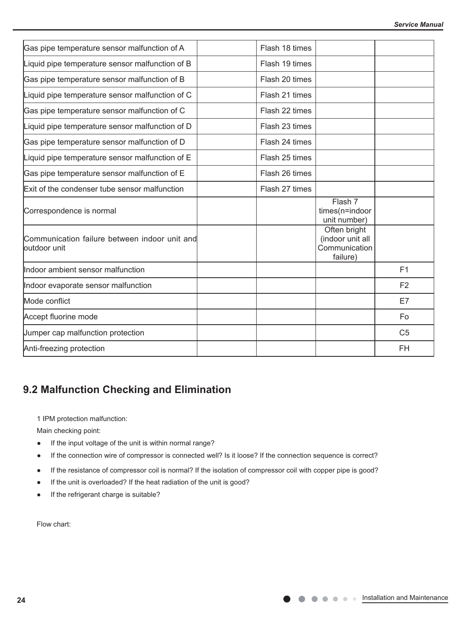| Gas pipe temperature sensor malfunction of A                  | Flash 18 times |                                                               |                |
|---------------------------------------------------------------|----------------|---------------------------------------------------------------|----------------|
| Liquid pipe temperature sensor malfunction of B               | Flash 19 times |                                                               |                |
| Gas pipe temperature sensor malfunction of B                  | Flash 20 times |                                                               |                |
| Liquid pipe temperature sensor malfunction of C               | Flash 21 times |                                                               |                |
| Gas pipe temperature sensor malfunction of C                  | Flash 22 times |                                                               |                |
| Liquid pipe temperature sensor malfunction of D               | Flash 23 times |                                                               |                |
| Gas pipe temperature sensor malfunction of D                  | Flash 24 times |                                                               |                |
| Liquid pipe temperature sensor malfunction of E               | Flash 25 times |                                                               |                |
| Gas pipe temperature sensor malfunction of E                  | Flash 26 times |                                                               |                |
| Exit of the condenser tube sensor malfunction                 | Flash 27 times |                                                               |                |
| Correspondence is normal                                      |                | Flash 7<br>times(n=indoor<br>unit number)                     |                |
| Communication failure between indoor unit and<br>outdoor unit |                | Often bright<br>(indoor unit all<br>Communication<br>failure) |                |
| Indoor ambient sensor malfunction                             |                |                                                               | F1             |
| Indoor evaporate sensor malfunction                           |                |                                                               | F <sub>2</sub> |
| Mode conflict                                                 |                |                                                               | E7             |
| Accept fluorine mode                                          |                |                                                               | Fo             |
| Jumper cap malfunction protection                             |                |                                                               | C <sub>5</sub> |
| Anti-freezing protection                                      |                |                                                               | <b>FH</b>      |

 $\frac{1}{\sqrt{2}}$  Communication failure with Unit C  $\frac{1}{\sqrt{2}}$   $\frac{1}{\sqrt{2}}$   $\frac{1}{\sqrt{2}}$   $\frac{1}{\sqrt{2}}$   $\frac{1}{\sqrt{2}}$   $\frac{1}{\sqrt{2}}$   $\frac{1}{\sqrt{2}}$   $\frac{1}{\sqrt{2}}$   $\frac{1}{\sqrt{2}}$   $\frac{1}{\sqrt{2}}$   $\frac{1}{\sqrt{2}}$   $\frac{1}{\sqrt{2}}$   $\frac{1}{\sqrt{2}}$   $\frac{1$ 

# **9.2 Malfunction Checking and Elimination**

1 IPM protection malfunction: 1 IPM protection malfunction:

Main checking point: Main checking point:

- If the input voltage of the unit is within normal range?
- If the connection wire of compressor is connected well? Is it loose? If the connection sequence is correct? If the connection wire of compressor is connected well? Is it loose? If the connection sequence is correct?
- If the resistance of compressor coil is normal? If the isolation of compressor coil with copper pipe is good? If the resistance of compressor coil is normal? If the isolation of compressor coil with copper pipe is good?
- If the unit is overloaded? If the heat radiation of the unit is good? If the unit is overloaded? If the heat radiation of the unit is good?
- If the refrigerant charge is suitable? If the refrigerant charge is suitable?

Flow chart: Flow chart: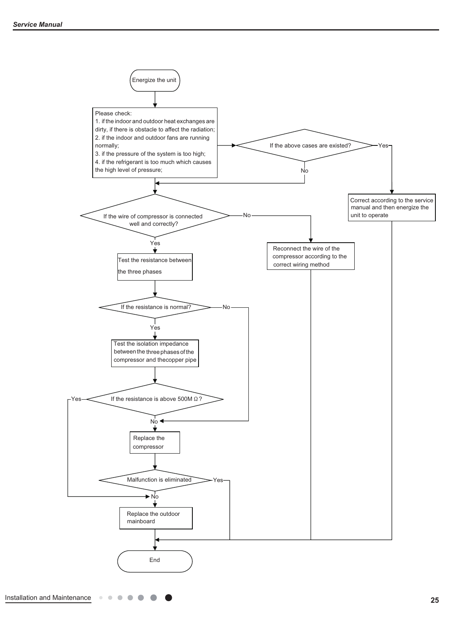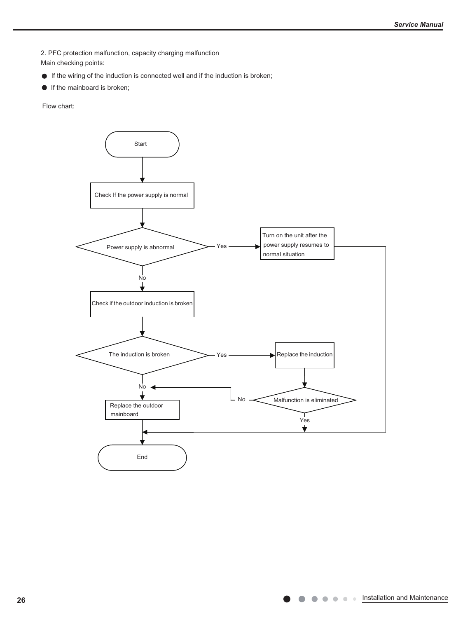2. PFC protection malfunction, capacity charging malfunction

Main checking points:

- If the wiring of the induction is connected well and if the induction is broken;
- **If the mainboard is broken;**

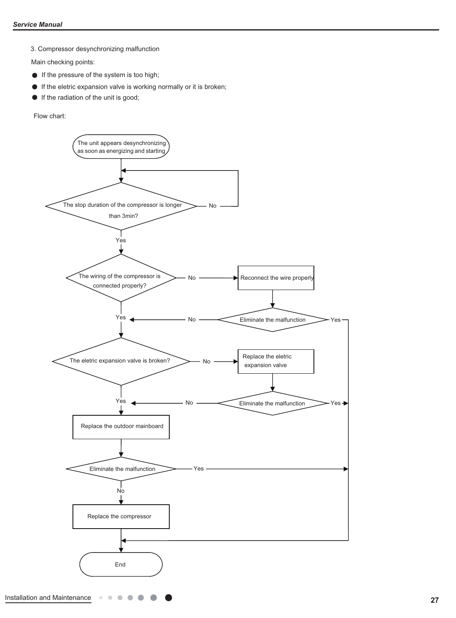3. Compressor desynchronizing malfunction

Main checking points:

- If the pressure of the system is too high;
- $\bullet$  If the eletric expansion valve is working normally or it is broken;
- If the radiation of the unit is good;  $\bullet$

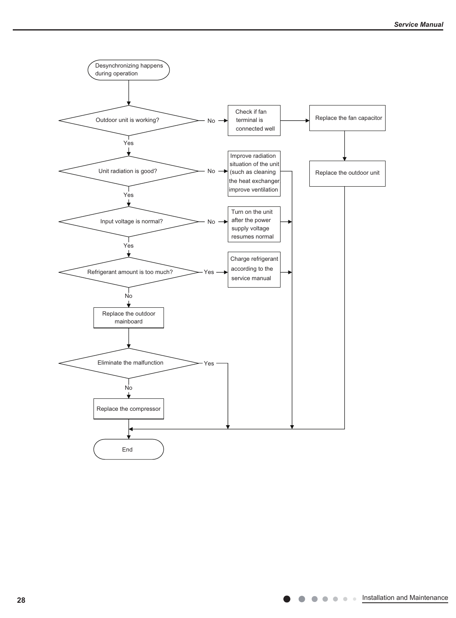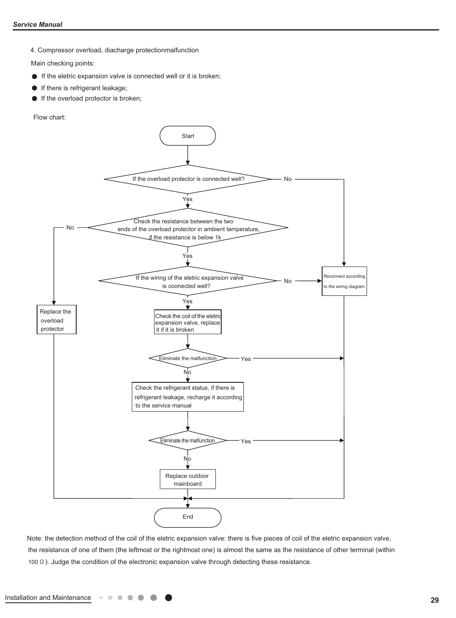4. Compressor overload, diacharge protectionmalfunction

Main checking points:

- $\bullet$  If the eletric expansion valve is connected well or it is broken;
- **If there is refrigerant leakage;**
- $\bullet$ If the overload protector is broken;

Flow chart:



Note: the detection method of the coil of the eletric expansion valve: there is five pieces of coil of the eletric expansion valve, the resistance of one of them (the leftmost or the rightmost one) is almost the same as the resistance of other terminal (within 100  $\Omega$ ). Judge the condition of the electronic expansion valve through detecting these resistance.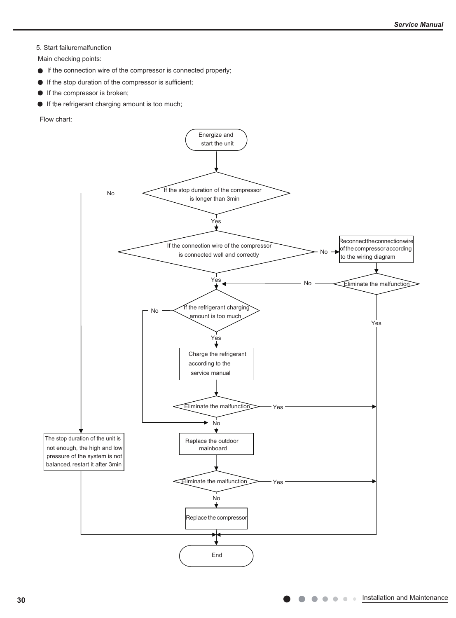#### 5. Start failuremalfunction

Main checking points:

- If the connection wire of the compressor is connected properly;
- If the stop duration of the compressor is sufficient;
- If the compressor is broken;
- If the refrigerant charging amount is too much;

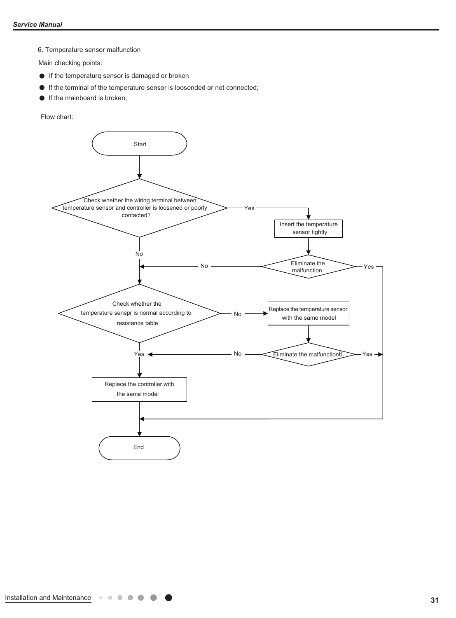6. Temperature sensor malfunction

Main checking points:

- If the temperature sensor is damaged or broken
- If the terminal of the temperature sensor is loosended or not connected;
- **If the mainboard is broken;**

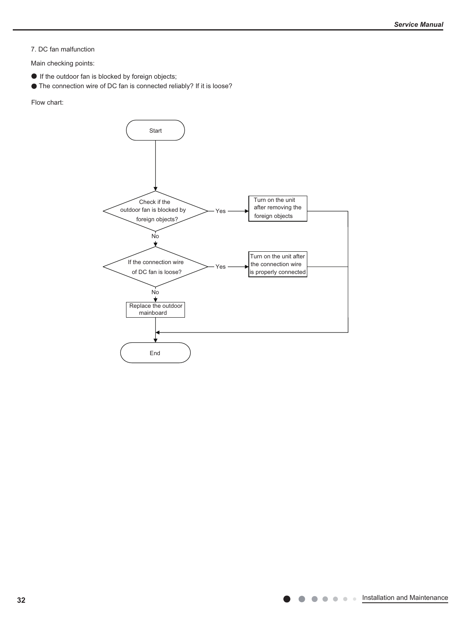7. DC fan malfunction

Main checking points:

- If the outdoor fan is blocked by foreign objects;
- The connection wire of DC fan is connected reliably? If it is loose?

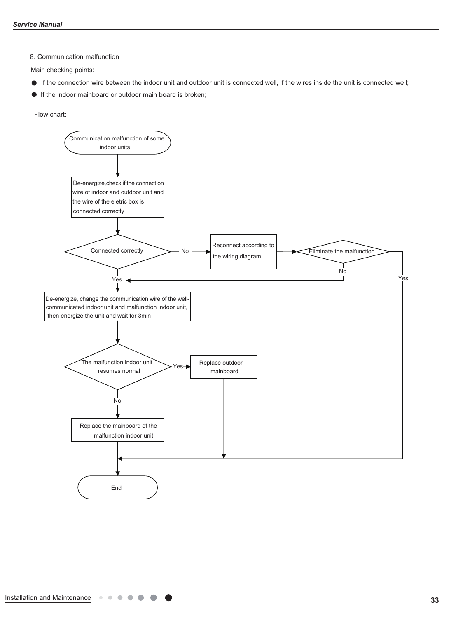8. Communication malfunction

Main checking points:

- If the connection wire between the indoor unit and outdoor unit is connected well, if the wires inside the unit is connected well;
- If the indoor mainboard or outdoor main board is broken;

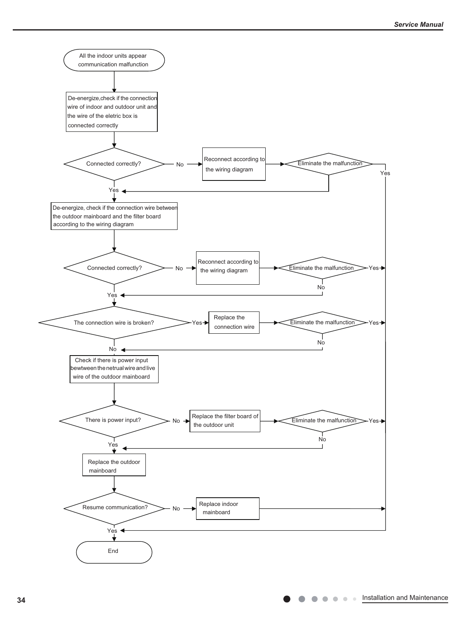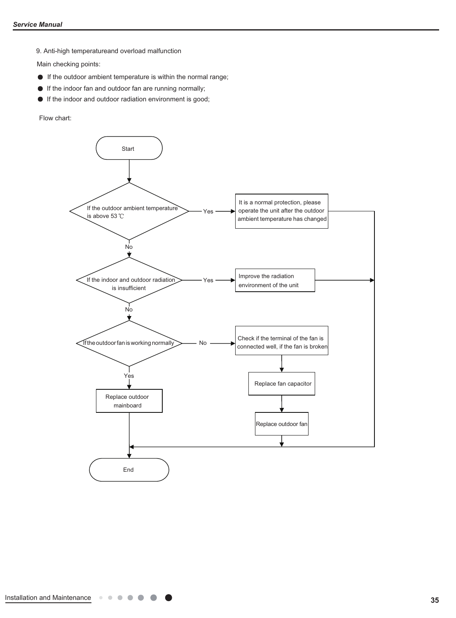9. Anti-high temperatureand overload malfunction

Main checking points:

- If the outdoor ambient temperature is within the normal range;
- If the indoor fan and outdoor fan are running normally;
- If the indoor and outdoor radiation environment is good;

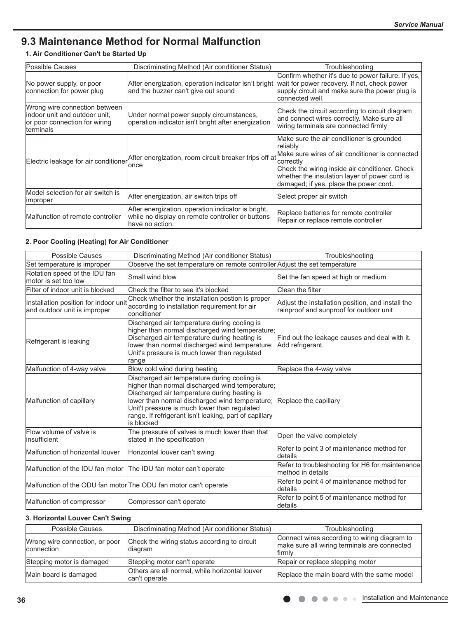# **9.3 Maintenance Method for Normal Malfunction**

### **1. Air Conditioner Can't be Started Up**

| Possible Causes                                                                                                      | Discriminating Method (Air conditioner Status)                                                                            | Troubleshooting                                                                                                                                                                                                                                                    |
|----------------------------------------------------------------------------------------------------------------------|---------------------------------------------------------------------------------------------------------------------------|--------------------------------------------------------------------------------------------------------------------------------------------------------------------------------------------------------------------------------------------------------------------|
| No power supply, or poor<br>connection for power plug                                                                | After energization, operation indicator isn't bright<br>and the buzzer can't give out sound                               | Confirm whether it's due to power failure. If yes,<br>wait for power recovery. If not, check power<br>supply circuit and make sure the power plug is<br>connected well.                                                                                            |
| Wrong wire connection between<br>lindoor unit and outdoor unit.<br>or poor connection for wiring<br><b>terminals</b> | Under normal power supply circumstances,<br>operation indicator isn't bright after energization                           | Check the circuit according to circuit diagram<br>and connect wires correctly. Make sure all<br>wiring terminals are connected firmly                                                                                                                              |
| Electric leakage for air conditioner                                                                                 | After energization, room circuit breaker trips off at<br>lonce                                                            | Make sure the air conditioner is grounded<br>reliablv<br>Make sure wires of air conditioner is connected<br>correctly<br>Check the wiring inside air conditioner. Check<br>whether the insulation layer of power cord is<br>damaged; if yes, place the power cord. |
| Model selection for air switch is<br><b>Improper</b>                                                                 | After energization, air switch trips off                                                                                  | Select proper air switch                                                                                                                                                                                                                                           |
| Malfunction of remote controller                                                                                     | After energization, operation indicator is bright,<br>while no display on remote controller or buttons<br>have no action. | Replace batteries for remote controller<br>Repair or replace remote controller                                                                                                                                                                                     |

#### **2. Poor Cooling (Heating) for Air Conditioner**

| <b>Possible Causes</b>                                                | Discriminating Method (Air conditioner Status)                                                                                                                                                                                                                                                                             | Troubleshooting                                                                              |
|-----------------------------------------------------------------------|----------------------------------------------------------------------------------------------------------------------------------------------------------------------------------------------------------------------------------------------------------------------------------------------------------------------------|----------------------------------------------------------------------------------------------|
| Set temperature is improper                                           | Observe the set temperature on remote controller Adjust the set temperature                                                                                                                                                                                                                                                |                                                                                              |
| Rotation speed of the IDU fan<br>motor is set too low                 | Small wind blow                                                                                                                                                                                                                                                                                                            | Set the fan speed at high or medium                                                          |
| Filter of indoor unit is blocked                                      | Check the filter to see it's blocked                                                                                                                                                                                                                                                                                       | Clean the filter                                                                             |
| Installation position for indoor unit<br>and outdoor unit is improper | Check whether the installation postion is proper<br>according to installation requirement for air<br>lconditioner                                                                                                                                                                                                          | Adjust the installation position, and install the<br>rainproof and sunproof for outdoor unit |
| Refrigerant is leaking                                                | Discharged air temperature during cooling is<br>higher than normal discharged wind temperature;<br>Discharged air temperature during heating is<br>lower than normal discharged wind temperature;<br>Unit's pressure is much lower than regulated<br>range                                                                 | Find out the leakage causes and deal with it.<br>Add refrigerant.                            |
| Malfunction of 4-way valve                                            | Blow cold wind during heating                                                                                                                                                                                                                                                                                              | Replace the 4-way valve                                                                      |
| Malfunction of capillary                                              | Discharged air temperature during cooling is<br>higher than normal discharged wind temperature;<br>Discharged air temperature during heating is<br>lower than normal discharged wind temperature;<br>Unit't pressure is much lower than regulated<br>range. If refrigerant isn't leaking, part of capillary<br>lis blocked | Replace the capillary                                                                        |
| Flow volume of valve is<br>linsufficient                              | The pressure of valves is much lower than that<br>stated in the specification                                                                                                                                                                                                                                              | Open the valve completely                                                                    |
| Malfunction of horizontal louver                                      | Horizontal louver can't swing                                                                                                                                                                                                                                                                                              | Refer to point 3 of maintenance method for<br>ldetails                                       |
| Malfunction of the IDU fan motor The IDU fan motor can't operate      |                                                                                                                                                                                                                                                                                                                            | Refer to troubleshooting for H6 for maintenance<br>lmethod in details                        |
| Malfunction of the ODU fan motor The ODU fan motor can't operate      |                                                                                                                                                                                                                                                                                                                            | Refer to point 4 of maintenance method for<br>details                                        |
| Malfunction of compressor                                             | Compressor can't operate                                                                                                                                                                                                                                                                                                   | Refer to point 5 of maintenance method for<br>details                                        |

### **3. Horizontal Louver Can't Swing**

| Possible Causes                              | Discriminating Method (Air conditioner Status)                  | Troubleshooting                                                                                        |
|----------------------------------------------|-----------------------------------------------------------------|--------------------------------------------------------------------------------------------------------|
| Wrong wire connection, or poor<br>connection | Check the wiring status according to circuit<br>diagram         | Connect wires according to wiring diagram to<br>make sure all wiring terminals are connected<br>firmly |
| Stepping motor is damaged                    | Stepping motor can't operate                                    | Repair or replace stepping motor                                                                       |
| Main board is damaged                        | Others are all normal, while horizontal louver<br>can't operate | Replace the main board with the same model                                                             |